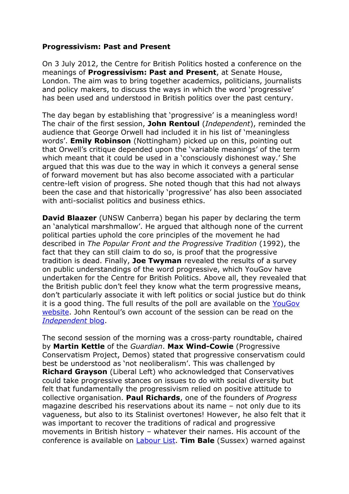## **Progressivism: Past and Present**

On 3 July 2012, the Centre for British Politics hosted a conference on the meanings of **Progressivism: Past and Present**, at Senate House, London. The aim was to bring together academics, politicians, journalists and policy makers, to discuss the ways in which the word 'progressive' has been used and understood in British politics over the past century.

The day began by establishing that 'progressive' is a meaningless word! The chair of the first session, **John Rentoul** (*Independent*), reminded the audience that George Orwell had included it in his list of 'meaningless words'. **Emily Robinson** (Nottingham) picked up on this, pointing out that Orwell's critique depended upon the 'variable meanings' of the term which meant that it could be used in a 'consciously dishonest way.' She argued that this was due to the way in which it conveys a general sense of forward movement but has also become associated with a particular centre-left vision of progress. She noted though that this had not always been the case and that historically 'progressive' has also been associated with anti-socialist politics and business ethics.

**David Blaazer** (UNSW Canberra) began his paper by declaring the term an 'analytical marshmallow'. He argued that although none of the current political parties uphold the core principles of the movement he had described in *The Popular Front and the Progressive Tradition* (1992), the fact that they can still claim to do so, is proof that the progressive tradition is dead. Finally, **Joe Twyman** revealed the results of a survey on public understandings of the word progressive, which YouGov have undertaken for the Centre for British Politics. Above all, they revealed that the British public don't feel they know what the term progressive means, don't particularly associate it with left politics or social justice but do think it is a good thing. The full results of the poll are available on the [YouGov](http://d25d2506sfb94s.cloudfront.net/cumulus_uploads/document/c5fsvqgba9/progressive_conference_sendout_WithResults_HT.pdf)  [website.](http://d25d2506sfb94s.cloudfront.net/cumulus_uploads/document/c5fsvqgba9/progressive_conference_sendout_WithResults_HT.pdf) John Rentoul's own account of the session can be read on the *[Independent](http://blogs.independent.co.uk/2012/07/04/the-royal-family-a-progressive-institution/)* blog.

The second session of the morning was a cross-party roundtable, chaired by **Martin Kettle** of the *Guardian*. **Max Wind-Cowie** (Progressive Conservatism Project, Demos) stated that progressive conservatism could best be understood as 'not neoliberalism'. This was challenged by **Richard Grayson** (Liberal Left) who acknowledged that Conservatives could take progressive stances on issues to do with social diversity but felt that fundamentally the progressivism relied on positive attitude to collective organisation. **Paul Richards**, one of the founders of *Progress*  magazine described his reservations about its name – not only due to its vagueness, but also to its Stalinist overtones! However, he also felt that it was important to recover the traditions of radical and progressive movements in British history – whatever their names. His account of the conference is available on [Labour List.](http://labourlist.org/2012/07/is-progressive-a-meaningless-term/#disqus_thread) **Tim Bale** (Sussex) warned against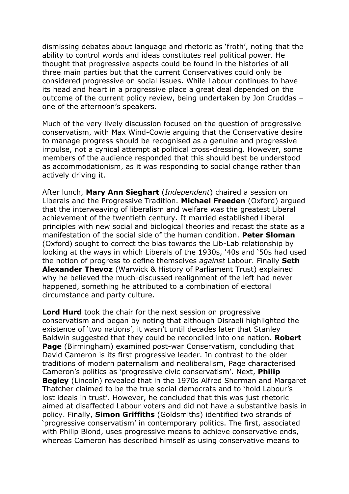dismissing debates about language and rhetoric as 'froth', noting that the ability to control words and ideas constitutes real political power. He thought that progressive aspects could be found in the histories of all three main parties but that the current Conservatives could only be considered progressive on social issues. While Labour continues to have its head and heart in a progressive place a great deal depended on the outcome of the current policy review, being undertaken by Jon Cruddas – one of the afternoon's speakers.

Much of the very lively discussion focused on the question of progressive conservatism, with Max Wind-Cowie arguing that the Conservative desire to manage progress should be recognised as a genuine and progressive impulse, not a cynical attempt at political cross-dressing. However, some members of the audience responded that this should best be understood as accommodationism, as it was responding to social change rather than actively driving it.

After lunch, **Mary Ann Sieghart** (*Independent*) chaired a session on Liberals and the Progressive Tradition. **Michael Freeden** (Oxford) argued that the interweaving of liberalism and welfare was the greatest Liberal achievement of the twentieth century. It married established Liberal principles with new social and biological theories and recast the state as a manifestation of the social side of the human condition. **Peter Sloman**  (Oxford) sought to correct the bias towards the Lib-Lab relationship by looking at the ways in which Liberals of the 1930s, '40s and '50s had used the notion of progress to define themselves *against* Labour. Finally **Seth Alexander Thevoz** (Warwick & History of Parliament Trust) explained why he believed the much-discussed realignment of the left had never happened, something he attributed to a combination of electoral circumstance and party culture.

**Lord Hurd** took the chair for the next session on progressive conservatism and began by noting that although Disraeli highlighted the existence of 'two nations', it wasn't until decades later that Stanley Baldwin suggested that they could be reconciled into one nation. **Robert Page** (Birmingham) examined post-war Conservatism, concluding that David Cameron is its first progressive leader. In contrast to the older traditions of modern paternalism and neoliberalism, Page characterised Cameron's politics as 'progressive civic conservatism'. Next, **Philip Begley** (Lincoln) revealed that in the 1970s Alfred Sherman and Margaret Thatcher claimed to be the true social democrats and to 'hold Labour's lost ideals in trust'. However, he concluded that this was just rhetoric aimed at disaffected Labour voters and did not have a substantive basis in policy. Finally, **Simon Griffiths** (Goldsmiths) identified two strands of 'progressive conservatism' in contemporary politics. The first, associated with Philip Blond, uses progressive means to achieve conservative ends, whereas Cameron has described himself as using conservative means to